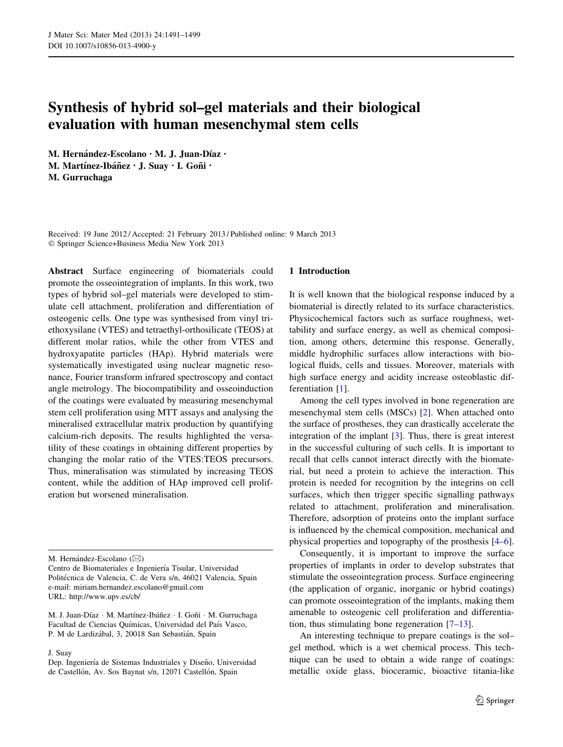# Synthesis of hybrid sol–gel materials and their biological evaluation with human mesenchymal stem cells

M. Hernández-Escolano · M. J. Juan-Díaz ·

M. Martínez-Ibáñez · J. Suay · I. Goñi ·

M. Gurruchaga

Received: 19 June 2012 / Accepted: 21 February 2013 / Published online: 9 March 2013 - Springer Science+Business Media New York 2013

Abstract Surface engineering of biomaterials could promote the osseointegration of implants. In this work, two types of hybrid sol–gel materials were developed to stimulate cell attachment, proliferation and differentiation of osteogenic cells. One type was synthesised from vinyl triethoxysilane (VTES) and tetraethyl-orthosilicate (TEOS) at different molar ratios, while the other from VTES and hydroxyapatite particles (HAp). Hybrid materials were systematically investigated using nuclear magnetic resonance, Fourier transform infrared spectroscopy and contact angle metrology. The biocompatibility and osseoinduction of the coatings were evaluated by measuring mesenchymal stem cell proliferation using MTT assays and analysing the mineralised extracellular matrix production by quantifying calcium-rich deposits. The results highlighted the versatility of these coatings in obtaining different properties by changing the molar ratio of the VTES:TEOS precursors. Thus, mineralisation was stimulated by increasing TEOS content, while the addition of HAp improved cell proliferation but worsened mineralisation.

M. Hernández-Escolano ( $\boxtimes$ )

Centro de Biomateriales e Ingeniería Tisular, Universidad Politécnica de Valencia, C. de Vera s/n, 46021 Valencia, Spain e-mail: miriam.hernandez.escolano@gmail.com URL: http://www.upv.es/cb/

M. J. Juan-Díaz · M. Martínez-Ibáñez · I. Goñi · M. Gurruchaga Facultad de Ciencias Químicas, Universidad del País Vasco, P. M de Lardizábal, 3, 20018 San Sebastián, Spain

J. Suay

# 1 Introduction

It is well known that the biological response induced by a biomaterial is directly related to its surface characteristics. Physicochemical factors such as surface roughness, wettability and surface energy, as well as chemical composition, among others, determine this response. Generally, middle hydrophilic surfaces allow interactions with biological fluids, cells and tissues. Moreover, materials with high surface energy and acidity increase osteoblastic differentiation [\[1](#page-7-0)].

Among the cell types involved in bone regeneration are mesenchymal stem cells (MSCs) [[2\]](#page-7-0). When attached onto the surface of prostheses, they can drastically accelerate the integration of the implant [[3\]](#page-7-0). Thus, there is great interest in the successful culturing of such cells. It is important to recall that cells cannot interact directly with the biomaterial, but need a protein to achieve the interaction. This protein is needed for recognition by the integrins on cell surfaces, which then trigger specific signalling pathways related to attachment, proliferation and mineralisation. Therefore, adsorption of proteins onto the implant surface is influenced by the chemical composition, mechanical and physical properties and topography of the prosthesis [\[4–6](#page-7-0)].

Consequently, it is important to improve the surface properties of implants in order to develop substrates that stimulate the osseointegration process. Surface engineering (the application of organic, inorganic or hybrid coatings) can promote osseointegration of the implants, making them amenable to osteogenic cell proliferation and differentiation, thus stimulating bone regeneration  $[7-13]$ .

An interesting technique to prepare coatings is the sol– gel method, which is a wet chemical process. This technique can be used to obtain a wide range of coatings: metallic oxide glass, bioceramic, bioactive titania-like

Dep. Ingeniería de Sistemas Industriales y Diseño, Universidad de Castellón, Av. Sos Baynat s/n, 12071 Castellón, Spain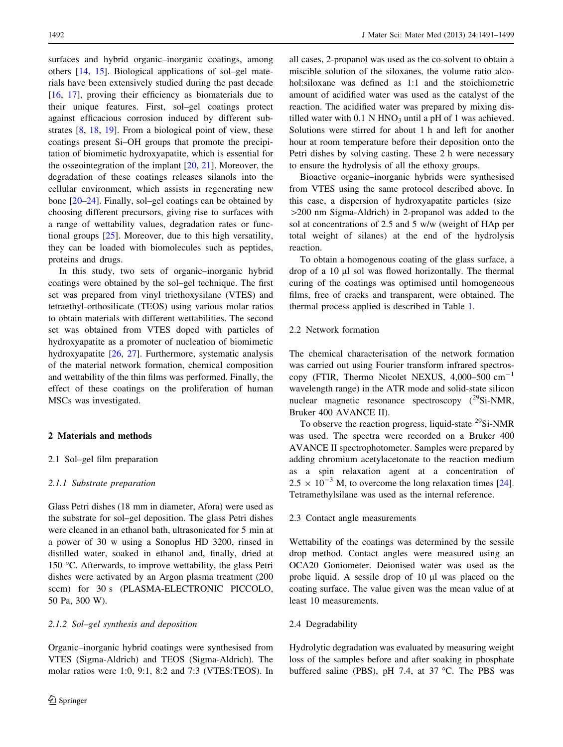surfaces and hybrid organic–inorganic coatings, among others [\[14](#page-7-0), [15](#page-7-0)]. Biological applications of sol–gel materials have been extensively studied during the past decade [\[16](#page-7-0), [17](#page-7-0)], proving their efficiency as biomaterials due to their unique features. First, sol–gel coatings protect against efficacious corrosion induced by different substrates [[8](#page-7-0), [18,](#page-7-0) [19\]](#page-7-0). From a biological point of view, these coatings present Si–OH groups that promote the precipitation of biomimetic hydroxyapatite, which is essential for the osseointegration of the implant  $[20, 21]$  $[20, 21]$  $[20, 21]$  $[20, 21]$  $[20, 21]$ . Moreover, the degradation of these coatings releases silanols into the cellular environment, which assists in regenerating new bone [[20–24\]](#page-7-0). Finally, sol–gel coatings can be obtained by choosing different precursors, giving rise to surfaces with a range of wettability values, degradation rates or functional groups [[25\]](#page-7-0). Moreover, due to this high versatility, they can be loaded with biomolecules such as peptides, proteins and drugs.

In this study, two sets of organic–inorganic hybrid coatings were obtained by the sol–gel technique. The first set was prepared from vinyl triethoxysilane (VTES) and tetraethyl-orthosilicate (TEOS) using various molar ratios to obtain materials with different wettabilities. The second set was obtained from VTES doped with particles of hydroxyapatite as a promoter of nucleation of biomimetic hydroxyapatite [\[26](#page-7-0), [27\]](#page-7-0). Furthermore, systematic analysis of the material network formation, chemical composition and wettability of the thin films was performed. Finally, the effect of these coatings on the proliferation of human MSCs was investigated.

# 2 Materials and methods

# 2.1 Sol–gel film preparation

# 2.1.1 Substrate preparation

Glass Petri dishes (18 mm in diameter, Afora) were used as the substrate for sol–gel deposition. The glass Petri dishes were cleaned in an ethanol bath, ultrasonicated for 5 min at a power of 30 w using a Sonoplus HD 3200, rinsed in distilled water, soaked in ethanol and, finally, dried at 150 °C. Afterwards, to improve wettability, the glass Petri dishes were activated by an Argon plasma treatment (200 sccm) for 30 s (PLASMA-ELECTRONIC PICCOLO, 50 Pa, 300 W).

## 2.1.2 Sol–gel synthesis and deposition

Organic–inorganic hybrid coatings were synthesised from VTES (Sigma-Aldrich) and TEOS (Sigma-Aldrich). The molar ratios were 1:0, 9:1, 8:2 and 7:3 (VTES:TEOS). In

all cases, 2-propanol was used as the co-solvent to obtain a miscible solution of the siloxanes, the volume ratio alcohol:siloxane was defined as 1:1 and the stoichiometric amount of acidified water was used as the catalyst of the reaction. The acidified water was prepared by mixing distilled water with  $0.1$  N HNO<sub>3</sub> until a pH of 1 was achieved. Solutions were stirred for about 1 h and left for another hour at room temperature before their deposition onto the Petri dishes by solving casting. These 2 h were necessary to ensure the hydrolysis of all the ethoxy groups.

Bioactive organic–inorganic hybrids were synthesised from VTES using the same protocol described above. In this case, a dispersion of hydroxyapatite particles (size  $>$ 200 nm Sigma-Aldrich) in 2-propanol was added to the sol at concentrations of 2.5 and 5 w/w (weight of HAp per total weight of silanes) at the end of the hydrolysis reaction.

To obtain a homogenous coating of the glass surface, a drop of a 10 ll sol was flowed horizontally. The thermal curing of the coatings was optimised until homogeneous films, free of cracks and transparent, were obtained. The thermal process applied is described in Table [1](#page-2-0).

# 2.2 Network formation

The chemical characterisation of the network formation was carried out using Fourier transform infrared spectroscopy (FTIR, Thermo Nicolet NEXUS,  $4,000-500$  cm<sup>-1</sup> wavelength range) in the ATR mode and solid-state silicon nuclear magnetic resonance spectroscopy  $(^{29}Si-NMR$ , Bruker 400 AVANCE II).

To observe the reaction progress, liquid-state  $^{29}$ Si-NMR was used. The spectra were recorded on a Bruker 400 AVANCE II spectrophotometer. Samples were prepared by adding chromium acetylacetonate to the reaction medium as a spin relaxation agent at a concentration of  $2.5 \times 10^{-3}$  M, to overcome the long relaxation times [\[24](#page-7-0)]. Tetramethylsilane was used as the internal reference.

#### 2.3 Contact angle measurements

Wettability of the coatings was determined by the sessile drop method. Contact angles were measured using an OCA20 Goniometer. Deionised water was used as the probe liquid. A sessile drop of  $10 \mu l$  was placed on the coating surface. The value given was the mean value of at least 10 measurements.

## 2.4 Degradability

Hydrolytic degradation was evaluated by measuring weight loss of the samples before and after soaking in phosphate buffered saline (PBS), pH 7.4, at 37  $^{\circ}$ C. The PBS was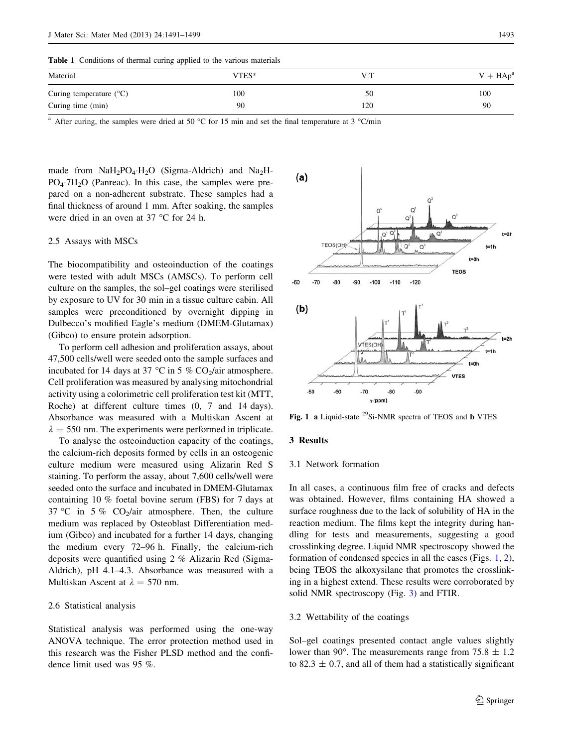<span id="page-2-0"></span>Table 1 Conditions of thermal curing applied to the various materials

| Material                         | VTES* | V:T | $V + HApa$ |
|----------------------------------|-------|-----|------------|
| Curing temperature $(^{\circ}C)$ | 100   | 50  | 100        |
| Curing time (min)                | 90    | 120 | 90         |

After curing, the samples were dried at 50 °C for 15 min and set the final temperature at 3 °C/min

made from  $\text{NaH}_2\text{PO}_4\cdot\text{H}_2\text{O}$  (Sigma-Aldrich) and  $\text{Na}_2\text{H}_2$  $PO_4 \cdot 7H_2O$  (Panreac). In this case, the samples were prepared on a non-adherent substrate. These samples had a final thickness of around 1 mm. After soaking, the samples were dried in an oven at  $37^{\circ}$ C for 24 h.

# 2.5 Assays with MSCs

The biocompatibility and osteoinduction of the coatings were tested with adult MSCs (AMSCs). To perform cell culture on the samples, the sol–gel coatings were sterilised by exposure to UV for 30 min in a tissue culture cabin. All samples were preconditioned by overnight dipping in Dulbecco's modified Eagle's medium (DMEM-Glutamax) (Gibco) to ensure protein adsorption.

To perform cell adhesion and proliferation assays, about 47,500 cells/well were seeded onto the sample surfaces and incubated for 14 days at 37  $\degree$ C in 5 % CO<sub>2</sub>/air atmosphere. Cell proliferation was measured by analysing mitochondrial activity using a colorimetric cell proliferation test kit (MTT, Roche) at different culture times (0, 7 and 14 days). Absorbance was measured with a Multiskan Ascent at  $\lambda = 550$  nm. The experiments were performed in triplicate.

To analyse the osteoinduction capacity of the coatings, the calcium-rich deposits formed by cells in an osteogenic culture medium were measured using Alizarin Red S staining. To perform the assay, about 7,600 cells/well were seeded onto the surface and incubated in DMEM-Glutamax containing 10 % foetal bovine serum (FBS) for 7 days at 37 °C in 5 %  $CO_2/air$  atmosphere. Then, the culture medium was replaced by Osteoblast Differentiation medium (Gibco) and incubated for a further 14 days, changing the medium every 72–96 h. Finally, the calcium-rich deposits were quantified using 2 % Alizarin Red (Sigma-Aldrich), pH 4.1–4.3. Absorbance was measured with a Multiskan Ascent at  $\lambda = 570$  nm.

#### 2.6 Statistical analysis

Statistical analysis was performed using the one-way ANOVA technique. The error protection method used in this research was the Fisher PLSD method and the confidence limit used was 95 %.



Fig. 1 a Liquid-state  $^{29}$ Si-NMR spectra of TEOS and b VTES

#### 3 Results

# 3.1 Network formation

In all cases, a continuous film free of cracks and defects was obtained. However, films containing HA showed a surface roughness due to the lack of solubility of HA in the reaction medium. The films kept the integrity during handling for tests and measurements, suggesting a good crosslinking degree. Liquid NMR spectroscopy showed the formation of condensed species in all the cases (Figs. 1, [2](#page-3-0)), being TEOS the alkoxysilane that promotes the crosslinking in a highest extend. These results were corroborated by solid NMR spectroscopy (Fig. [3\)](#page-3-0) and FTIR.

# 3.2 Wettability of the coatings

Sol–gel coatings presented contact angle values slightly lower than 90°. The measurements range from 75.8  $\pm$  1.2 to 82.3  $\pm$  0.7, and all of them had a statistically significant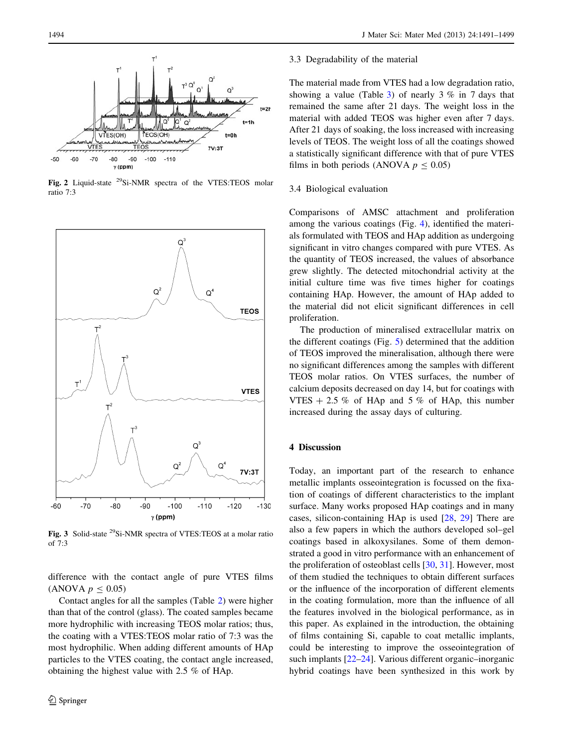<span id="page-3-0"></span>

Fig. 2 Liquid-state 29Si-NMR spectra of the VTES:TEOS molar ratio 7:3



Fig. 3 Solid-state <sup>29</sup>Si-NMR spectra of VTES: TEOS at a molar ratio of 7:3

difference with the contact angle of pure VTES films (ANOVA  $p \le 0.05$ )

Contact angles for all the samples (Table [2\)](#page-4-0) were higher than that of the control (glass). The coated samples became more hydrophilic with increasing TEOS molar ratios; thus, the coating with a VTES:TEOS molar ratio of 7:3 was the most hydrophilic. When adding different amounts of HAp particles to the VTES coating, the contact angle increased, obtaining the highest value with 2.5 % of HAp.

#### 3.3 Degradability of the material

The material made from VTES had a low degradation ratio, showing a value (Table [3](#page-4-0)) of nearly  $3\%$  in 7 days that remained the same after 21 days. The weight loss in the material with added TEOS was higher even after 7 days. After 21 days of soaking, the loss increased with increasing levels of TEOS. The weight loss of all the coatings showed a statistically significant difference with that of pure VTES films in both periods (ANOVA  $p \le 0.05$ )

# 3.4 Biological evaluation

Comparisons of AMSC attachment and proliferation among the various coatings (Fig. [4](#page-4-0)), identified the materials formulated with TEOS and HAp addition as undergoing significant in vitro changes compared with pure VTES. As the quantity of TEOS increased, the values of absorbance grew slightly. The detected mitochondrial activity at the initial culture time was five times higher for coatings containing HAp. However, the amount of HAp added to the material did not elicit significant differences in cell proliferation.

The production of mineralised extracellular matrix on the different coatings (Fig. [5](#page-5-0)) determined that the addition of TEOS improved the mineralisation, although there were no significant differences among the samples with different TEOS molar ratios. On VTES surfaces, the number of calcium deposits decreased on day 14, but for coatings with VTES  $+ 2.5 \%$  of HAp and 5% of HAp, this number increased during the assay days of culturing.

# 4 Discussion

Today, an important part of the research to enhance metallic implants osseointegration is focussed on the fixation of coatings of different characteristics to the implant surface. Many works proposed HAp coatings and in many cases, silicon-containing HAp is used [\[28](#page-7-0), [29\]](#page-7-0) There are also a few papers in which the authors developed sol–gel coatings based in alkoxysilanes. Some of them demonstrated a good in vitro performance with an enhancement of the proliferation of osteoblast cells [\[30](#page-7-0), [31](#page-7-0)]. However, most of them studied the techniques to obtain different surfaces or the influence of the incorporation of different elements in the coating formulation, more than the influence of all the features involved in the biological performance, as in this paper. As explained in the introduction, the obtaining of films containing Si, capable to coat metallic implants, could be interesting to improve the osseointegration of such implants [\[22–24](#page-7-0)]. Various different organic–inorganic hybrid coatings have been synthesized in this work by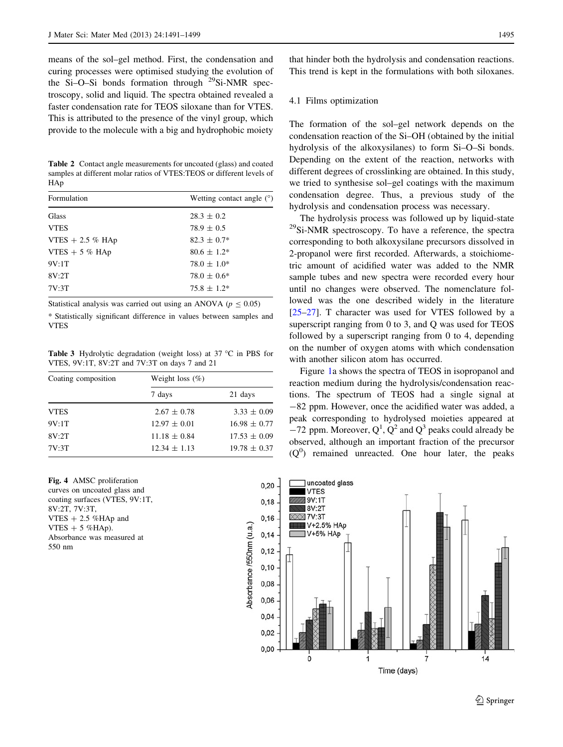<span id="page-4-0"></span>means of the sol–gel method. First, the condensation and curing processes were optimised studying the evolution of the Si–O–Si bonds formation through  $^{29}$ Si-NMR spectroscopy, solid and liquid. The spectra obtained revealed a faster condensation rate for TEOS siloxane than for VTES. This is attributed to the presence of the vinyl group, which provide to the molecule with a big and hydrophobic moiety

Table 2 Contact angle measurements for uncoated (glass) and coated samples at different molar ratios of VTES:TEOS or different levels of HAp

| Formulation       | Wetting contact angle $(°)$ |
|-------------------|-----------------------------|
| Glass             | $28.3 \pm 0.2$              |
| <b>VTES</b>       | $78.9 \pm 0.5$              |
| VTES $+2.5$ % HAp | $82.3 \pm 0.7^*$            |
| VTES $+5$ % HAp   | $80.6 \pm 1.2^*$            |
| 9V:1T             | $78.0 \pm 1.0^*$            |
| 8V:2T             | $78.0 \pm 0.6*$             |
| 7V:3T             | $75.8 \pm 1.2^*$            |
|                   |                             |

Statistical analysis was carried out using an ANOVA ( $p \le 0.05$ ) \* Statistically significant difference in values between samples and VTES

**Table 3** Hydrolytic degradation (weight loss) at  $37^{\circ}$ C in PBS for VTES, 9V:1T, 8V:2T and 7V:3T on days 7 and 21

| Coating composition | Weight loss $(\%)$ |                  |  |  |  |
|---------------------|--------------------|------------------|--|--|--|
|                     | 7 days             | 21 days          |  |  |  |
| <b>VTES</b>         | $2.67 \pm 0.78$    | $3.33 \pm 0.09$  |  |  |  |
| 9V:1T               | $12.97 \pm 0.01$   | $16.98 \pm 0.77$ |  |  |  |
| 8V:2T               | $11.18 \pm 0.84$   | $17.53 \pm 0.09$ |  |  |  |
| 7V:3T               | $12.34 \pm 1.13$   | $19.78 \pm 0.37$ |  |  |  |

Fig. 4 AMSC proliferation curves on uncoated glass and coating surfaces (VTES, 9V:1T, 8V:2T, 7V:3T, VTES  $+2.5$  %HAp and  $VTES + 5 % HAp.$ Absorbance was measured at 550 nm

that hinder both the hydrolysis and condensation reactions. This trend is kept in the formulations with both siloxanes.

#### 4.1 Films optimization

The formation of the sol–gel network depends on the condensation reaction of the Si–OH (obtained by the initial hydrolysis of the alkoxysilanes) to form Si–O–Si bonds. Depending on the extent of the reaction, networks with different degrees of crosslinking are obtained. In this study, we tried to synthesise sol–gel coatings with the maximum condensation degree. Thus, a previous study of the hydrolysis and condensation process was necessary.

The hydrolysis process was followed up by liquid-state <sup>29</sup>Si-NMR spectroscopy. To have a reference, the spectra corresponding to both alkoxysilane precursors dissolved in 2-propanol were first recorded. Afterwards, a stoichiometric amount of acidified water was added to the NMR sample tubes and new spectra were recorded every hour until no changes were observed. The nomenclature followed was the one described widely in the literature [\[25–27](#page-7-0)]. T character was used for VTES followed by a superscript ranging from 0 to 3, and Q was used for TEOS followed by a superscript ranging from 0 to 4, depending on the number of oxygen atoms with which condensation with another silicon atom has occurred.

Figure [1a](#page-2-0) shows the spectra of TEOS in isopropanol and reaction medium during the hydrolysis/condensation reactions. The spectrum of TEOS had a single signal at -82 ppm. However, once the acidified water was added, a peak corresponding to hydrolysed moieties appeared at  $-72$  ppm. Moreover,  $Q<sup>1</sup>$ ,  $Q<sup>2</sup>$  and  $Q<sup>3</sup>$  peaks could already be observed, although an important fraction of the precursor  $(Q<sup>0</sup>)$  remained unreacted. One hour later, the peaks

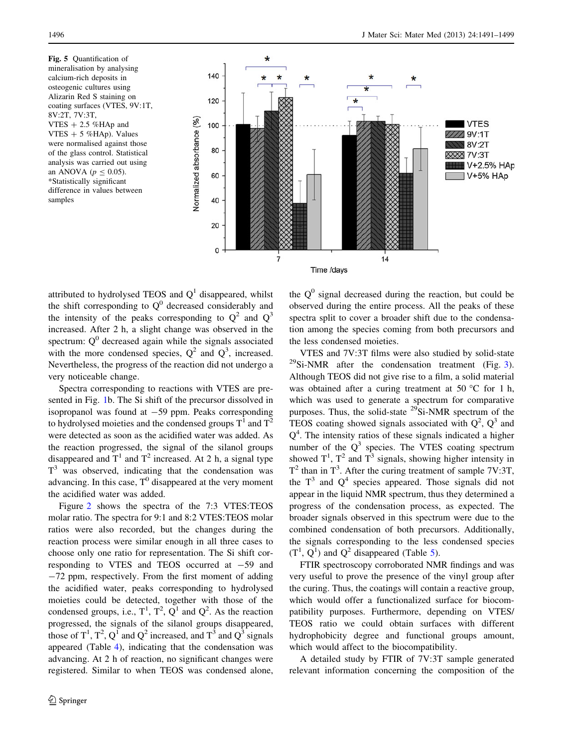<span id="page-5-0"></span>Fig. 5 Quantification of mineralisation by analysing calcium-rich deposits in osteogenic cultures using Alizarin Red S staining on coating surfaces (VTES, 9V:1T, 8V:2T, 7V:3T, VTES  $+2.5$  %HAp and VTES  $+ 5$  %HAp). Values were normalised against those of the glass control. Statistical analysis was carried out using an ANOVA ( $p \le 0.05$ ). \*Statistically significant difference in values between samples

![](_page_5_Figure_3.jpeg)

attributed to hydrolysed TEOS and  $Q<sup>1</sup>$  disappeared, whilst the shift corresponding to  $Q^0$  decreased considerably and the intensity of the peaks corresponding to  $Q^2$  and  $Q^3$ increased. After 2 h, a slight change was observed in the spectrum:  $Q^0$  decreased again while the signals associated with the more condensed species,  $Q^2$  and  $Q^3$ , increased. Nevertheless, the progress of the reaction did not undergo a very noticeable change.

Spectra corresponding to reactions with VTES are presented in Fig. [1](#page-2-0)b. The Si shift of the precursor dissolved in isopropanol was found at  $-59$  ppm. Peaks corresponding to hydrolysed moieties and the condensed groups  $T^1$  and  $T^2$ were detected as soon as the acidified water was added. As the reaction progressed, the signal of the silanol groups disappeared and  $T^1$  and  $T^2$  increased. At 2 h, a signal type  $T<sup>3</sup>$  was observed, indicating that the condensation was advancing. In this case,  $T^0$  disappeared at the very moment the acidified water was added.

Figure [2](#page-3-0) shows the spectra of the 7:3 VTES:TEOS molar ratio. The spectra for 9:1 and 8:2 VTES:TEOS molar ratios were also recorded, but the changes during the reaction process were similar enough in all three cases to choose only one ratio for representation. The Si shift corresponding to VTES and TEOS occurred at  $-59$  and -72 ppm, respectively. From the first moment of adding the acidified water, peaks corresponding to hydrolysed moieties could be detected, together with those of the condensed groups, i.e.,  $T^1$ ,  $T^2$ ,  $Q^1$  and  $Q^2$ . As the reaction progressed, the signals of the silanol groups disappeared, those of  $T^1$ ,  $T^2$ ,  $Q^1$  and  $Q^2$  increased, and  $T^3$  and  $Q^3$  signals appeared (Table [4\)](#page-6-0), indicating that the condensation was advancing. At 2 h of reaction, no significant changes were registered. Similar to when TEOS was condensed alone, the  $Q<sup>0</sup>$  signal decreased during the reaction, but could be observed during the entire process. All the peaks of these spectra split to cover a broader shift due to the condensation among the species coming from both precursors and the less condensed moieties.

VTES and 7V:3T films were also studied by solid-state  $^{29}$ Si-NMR after the condensation treatment (Fig. [3](#page-3-0)). Although TEOS did not give rise to a film, a solid material was obtained after a curing treatment at 50  $^{\circ}$ C for 1 h, which was used to generate a spectrum for comparative purposes. Thus, the solid-state  $^{29}$ Si-NMR spectrum of the TEOS coating showed signals associated with  $Q^2$ ,  $Q^3$  and  $Q<sup>4</sup>$ . The intensity ratios of these signals indicated a higher number of the  $Q<sup>3</sup>$  species. The VTES coating spectrum showed  $T^1$ ,  $T^2$  and  $T^3$  signals, showing higher intensity in  $T^2$  than in  $T^3$ . After the curing treatment of sample 7V:3T, the  $T<sup>3</sup>$  and  $Q<sup>4</sup>$  species appeared. Those signals did not appear in the liquid NMR spectrum, thus they determined a progress of the condensation process, as expected. The broader signals observed in this spectrum were due to the combined condensation of both precursors. Additionally, the signals corresponding to the less condensed species  $(T^1, Q^1)$  and  $Q^2$  disappeared (Table [5](#page-6-0)).

FTIR spectroscopy corroborated NMR findings and was very useful to prove the presence of the vinyl group after the curing. Thus, the coatings will contain a reactive group, which would offer a functionalized surface for biocompatibility purposes. Furthermore, depending on VTES/ TEOS ratio we could obtain surfaces with different hydrophobicity degree and functional groups amount, which would affect to the biocompatibility.

A detailed study by FTIR of 7V:3T sample generated relevant information concerning the composition of the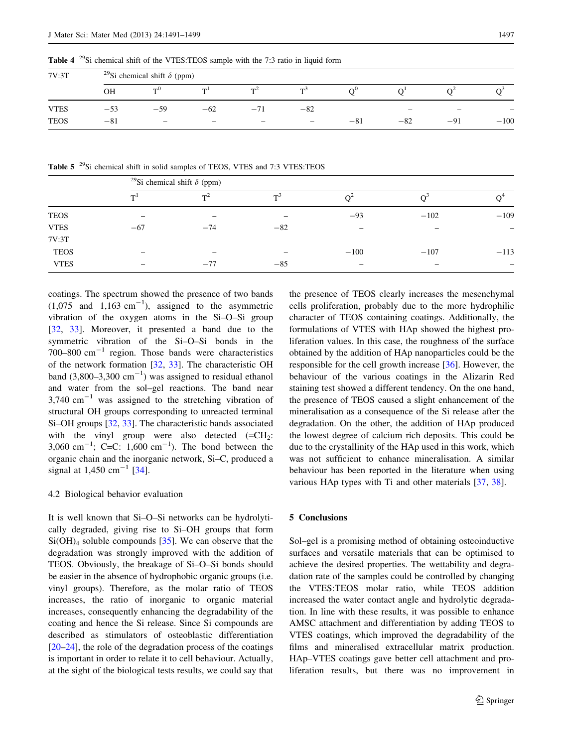<span id="page-6-0"></span>**Table 4**  $^{29}$ Si chemical shift of the VTES:TEOS sample with the 7:3 ratio in liquid form

| 7V:3T       |       | <sup>29</sup> Si chemical shift $\delta$ (ppm) |                          |                                                                                                                                                                                                                                                                                                                                                                                    |                   |       |       |                          |        |  |
|-------------|-------|------------------------------------------------|--------------------------|------------------------------------------------------------------------------------------------------------------------------------------------------------------------------------------------------------------------------------------------------------------------------------------------------------------------------------------------------------------------------------|-------------------|-------|-------|--------------------------|--------|--|
|             | OН    | $\neg$ 0                                       | m l                      | $T^2$                                                                                                                                                                                                                                                                                                                                                                              | - TD-3            |       |       |                          |        |  |
| <b>VTES</b> | $-53$ | $-59$                                          | $-62$                    | $-1$                                                                                                                                                                                                                                                                                                                                                                               | $-82$             |       | $-$   | $\overline{\phantom{0}}$ | -      |  |
| <b>TEOS</b> | $-81$ | $\overline{\phantom{0}}$                       | $\overline{\phantom{0}}$ | $\hspace{1.0cm} \hspace{1.0cm} \hspace{1.0cm} \hspace{1.0cm} \hspace{1.0cm} \hspace{1.0cm} \hspace{1.0cm} \hspace{1.0cm} \hspace{1.0cm} \hspace{1.0cm} \hspace{1.0cm} \hspace{1.0cm} \hspace{1.0cm} \hspace{1.0cm} \hspace{1.0cm} \hspace{1.0cm} \hspace{1.0cm} \hspace{1.0cm} \hspace{1.0cm} \hspace{1.0cm} \hspace{1.0cm} \hspace{1.0cm} \hspace{1.0cm} \hspace{1.0cm} \hspace{$ | $\qquad \qquad -$ | $-81$ | $-82$ | $-91$                    | $-100$ |  |

Table 5<sup>29</sup>Si chemical shift in solid samples of TEOS, VTES and 7:3 VTES:TEOS

|             | <sup>29</sup> Si chemical shift $\delta$ (ppm) |       |       |        |        |        |  |
|-------------|------------------------------------------------|-------|-------|--------|--------|--------|--|
|             | T <sup>1</sup>                                 | $T^2$ | тë,   |        |        |        |  |
| <b>TEOS</b> | -                                              | -     |       | $-93$  | $-102$ | $-109$ |  |
| <b>VTES</b> | $-67$                                          | $-74$ | $-82$ |        |        |        |  |
| 7V:3T       |                                                |       |       |        |        |        |  |
| <b>TEOS</b> | -                                              | -     | -     | $-100$ | $-107$ | $-113$ |  |
| <b>VTES</b> | -                                              | $-77$ | $-85$ |        |        |        |  |

coatings. The spectrum showed the presence of two bands  $(1,075 \text{ and } 1,163 \text{ cm}^{-1})$ , assigned to the asymmetric vibration of the oxygen atoms in the Si–O–Si group [\[32](#page-7-0), [33\]](#page-8-0). Moreover, it presented a band due to the symmetric vibration of the Si–O–Si bonds in the 700–800  $\text{cm}^{-1}$  region. Those bands were characteristics of the network formation [\[32](#page-7-0), [33\]](#page-8-0). The characteristic OH band  $(3,800-3,300 \text{ cm}^{-1})$  was assigned to residual ethanol and water from the sol–gel reactions. The band near  $3,740$  cm<sup>-1</sup> was assigned to the stretching vibration of structural OH groups corresponding to unreacted terminal Si–OH groups [\[32](#page-7-0), [33](#page-8-0)]. The characteristic bands associated with the vinyl group were also detected  $(=CH<sub>2</sub>:$ 3,060 cm<sup>-1</sup>; C=C: 1,600 cm<sup>-1</sup>). The bond between the organic chain and the inorganic network, Si–C, produced a signal at  $1,450$  cm<sup>-1</sup> [\[34](#page-8-0)].

# 4.2 Biological behavior evaluation

It is well known that Si–O–Si networks can be hydrolytically degraded, giving rise to Si–OH groups that form  $Si(OH)<sub>4</sub>$  soluble compounds [[35\]](#page-8-0). We can observe that the degradation was strongly improved with the addition of TEOS. Obviously, the breakage of Si–O–Si bonds should be easier in the absence of hydrophobic organic groups (i.e. vinyl groups). Therefore, as the molar ratio of TEOS increases, the ratio of inorganic to organic material increases, consequently enhancing the degradability of the coating and hence the Si release. Since Si compounds are described as stimulators of osteoblastic differentiation [\[20–24](#page-7-0)], the role of the degradation process of the coatings is important in order to relate it to cell behaviour. Actually, at the sight of the biological tests results, we could say that

the presence of TEOS clearly increases the mesenchymal cells proliferation, probably due to the more hydrophilic character of TEOS containing coatings. Additionally, the formulations of VTES with HAp showed the highest proliferation values. In this case, the roughness of the surface obtained by the addition of HAp nanoparticles could be the responsible for the cell growth increase [\[36](#page-8-0)]. However, the behaviour of the various coatings in the Alizarin Red staining test showed a different tendency. On the one hand, the presence of TEOS caused a slight enhancement of the mineralisation as a consequence of the Si release after the degradation. On the other, the addition of HAp produced the lowest degree of calcium rich deposits. This could be due to the crystallinity of the HAp used in this work, which was not sufficient to enhance mineralisation. A similar behaviour has been reported in the literature when using various HAp types with Ti and other materials [\[37](#page-8-0), [38](#page-8-0)].

#### 5 Conclusions

Sol–gel is a promising method of obtaining osteoinductive surfaces and versatile materials that can be optimised to achieve the desired properties. The wettability and degradation rate of the samples could be controlled by changing the VTES:TEOS molar ratio, while TEOS addition increased the water contact angle and hydrolytic degradation. In line with these results, it was possible to enhance AMSC attachment and differentiation by adding TEOS to VTES coatings, which improved the degradability of the films and mineralised extracellular matrix production. HAp–VTES coatings gave better cell attachment and proliferation results, but there was no improvement in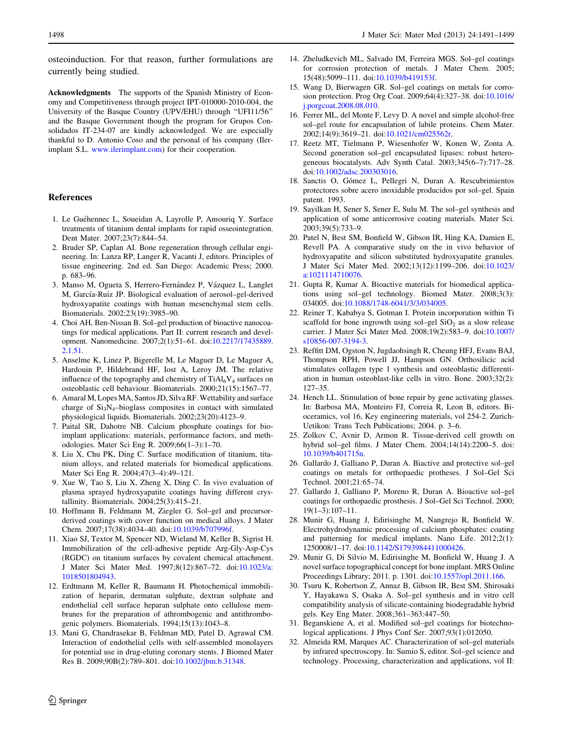<span id="page-7-0"></span>osteoinduction. For that reason, further formulations are currently being studied.

Acknowledgments The supports of the Spanish Ministry of Economy and Competitiveness through project IPT-010000-2010-004, the University of the Basque Country (UPV/EHU) through ''UFI11/56'' and the Basque Government though the program for Grupos Consolidados IT-234-07 are kindly acknowledged. We are especially thankful to D. Antonio Coso and the personal of his company (Ilerimplant S.L. [www.ilerimplant.com](http://www.ilerimplant.com)) for their cooperation.

# References

- 1. Le Guéhennec L, Soueidan A, Layrolle P, Amouriq Y. Surface treatments of titanium dental implants for rapid osseointegration. Dent Mater. 2007;23(7):844–54.
- 2. Bruder SP, Caplan AI. Bone regeneration through cellular engineering. In: Lanza RP, Langer R, Vacanti J, editors. Principles of tissue engineering. 2nd ed. San Diego: Academic Press; 2000. p. 683–96.
- 3. Manso M, Ogueta S, Herrero-Fernández P, Vázquez L, Langlet M, García-Ruiz JP. Biological evaluation of aerosol–gel-derived hydroxyapatite coatings with human mesenchymal stem cells. Biomaterials. 2002;23(19):3985–90.
- 4. Choi AH, Ben-Nissan B. Sol–gel production of bioactive nanocoatings for medical applications. Part II: current research and development. Nanomedicine. 2007;2(1):51–61. doi:[10.2217/17435889.](http://dx.doi.org/10.2217/17435889.2.1.51) [2.1.51](http://dx.doi.org/10.2217/17435889.2.1.51).
- 5. Anselme K, Linez P, Bigerelle M, Le Maguer D, Le Maguer A, Hardouin P, Hildebrand HF, Iost A, Leroy JM. The relative influence of the topography and chemistry of  $TiAl<sub>6</sub>V<sub>4</sub>$  surfaces on osteoblastic cell behaviour. Biomaterials. 2000;21(15):1567–77.
- 6. Amaral M, Lopes MA, Santos JD, Silva RF. Wettability and surface charge of  $Si<sub>3</sub>N<sub>4</sub>$ -bioglass composites in contact with simulated physiological liquids. Biomaterials. 2002;23(20):4123–9.
- 7. Paital SR, Dahotre NB. Calcium phosphate coatings for bioimplant applications: materials, performance factors, and methodologies. Mater Sci Eng R. 2009;66(1–3):1–70.
- 8. Liu X, Chu PK, Ding C. Surface modification of titanium, titanium alloys, and related materials for biomedical applications. Mater Sci Eng R. 2004;47(3–4):49–121.
- 9. Xue W, Tao S, Liu X, Zheng X, Ding C. In vivo evaluation of plasma sprayed hydroxyapatite coatings having different crystallinity. Biomaterials. 2004;25(3):415–21.
- 10. Hoffmann B, Feldmann M, Ziegler G. Sol–gel and precursorderived coatings with cover function on medical alloys. J Mater Chem. 2007;17(38):4034–40. doi:[10.1039/b707996f](http://dx.doi.org/10.1039/b707996f).
- 11. Xiao SJ, Textor M, Spencer ND, Wieland M, Keller B, Sigrist H. Immobilization of the cell-adhesive peptide Arg-Gly-Asp-Cys (RGDC) on titanium surfaces by covalent chemical attachment. J Mater Sci Mater Med. 1997;8(12):867–72. doi[:10.1023/a:](http://dx.doi.org/10.1023/a:1018501804943) [1018501804943.](http://dx.doi.org/10.1023/a:1018501804943)
- 12. Erdtmann M, Keller R, Baumann H. Photochemical immobilization of heparin, dermatan sulphate, dextran sulphate and endothelial cell surface heparan sulphate onto cellulose membranes for the preparation of athrombogenic and antithrombogenic polymers. Biomaterials. 1994;15(13):1043–8.
- 13. Mani G, Chandrasekar B, Feldman MD, Patel D, Agrawal CM. Interaction of endothelial cells with self-assembled monolayers for potential use in drug-eluting coronary stents. J Biomed Mater Res B. 2009;90B(2):789–801. doi[:10.1002/jbm.b.31348](http://dx.doi.org/10.1002/jbm.b.31348).
- 14. Zheludkevich ML, Salvado IM, Ferreira MGS. Sol–gel coatings for corrosion protection of metals. J Mater Chem. 2005; 15(48):5099–111. doi:[10.1039/b419153f](http://dx.doi.org/10.1039/b419153f).
- 15. Wang D, Bierwagen GR. Sol–gel coatings on metals for corrosion protection. Prog Org Coat. 2009;64(4):327–38. doi[:10.1016/](http://dx.doi.org/10.1016/j.porgcoat.2008.08.010) [j.porgcoat.2008.08.010](http://dx.doi.org/10.1016/j.porgcoat.2008.08.010).
- 16. Ferrer ML, del Monte F, Levy D. A novel and simple alcohol-free sol–gel route for encapsulation of labile proteins. Chem Mater. 2002;14(9):3619–21. doi:[10.1021/cm025562r](http://dx.doi.org/10.1021/cm025562r).
- 17. Reetz MT, Tielmann P, Wiesenhofer W, Konen W, Zonta A. Second generation sol–gel encapsulated lipases: robust heterogeneous biocatalysts. Adv Synth Catal. 2003;345(6–7):717–28. doi:[10.1002/adsc.200303016](http://dx.doi.org/10.1002/adsc.200303016).
- 18. Sanctis O, Gómez L, Pellegri N, Duran A. Rescubrimientos protectores sobre acero inoxidable producidos por sol–gel. Spain patent. 1993.
- 19. Sayilkan H, Sener S, Sener E, Sulu M. The sol–gel synthesis and application of some anticorrosive coating materials. Mater Sci. 2003;39(5):733–9.
- 20. Patel N, Best SM, Bonfield W, Gibson IR, Hing KA, Damien E, Revell PA. A comparative study on the in vivo behavior of hydroxyapatite and silicon substituted hydroxyapatite granules. J Mater Sci Mater Med. 2002;13(12):1199–206. doi[:10.1023/](http://dx.doi.org/10.1023/a:1021114710076) [a:1021114710076.](http://dx.doi.org/10.1023/a:1021114710076)
- 21. Gupta R, Kumar A. Bioactive materials for biomedical applications using sol–gel technology. Biomed Mater. 2008;3(3): 034005. doi[:10.1088/1748-6041/3/3/034005.](http://dx.doi.org/10.1088/1748-6041/3/3/034005)
- 22. Reiner T, Kababya S, Gotman I. Protein incorporation within Ti scaffold for bone ingrowth using sol–gel  $SiO<sub>2</sub>$  as a slow release carrier. J Mater Sci Mater Med. 2008;19(2):583–9. doi[:10.1007/](http://dx.doi.org/10.1007/s10856-007-3194-3) [s10856-007-3194-3](http://dx.doi.org/10.1007/s10856-007-3194-3).
- 23. Reffitt DM, Ogston N, Jugdaohsingh R, Cheung HFJ, Evans BAJ, Thompson RPH, Powell JJ, Hampson GN. Orthosilicic acid stimulates collagen type 1 synthesis and osteoblastic differentiation in human osteoblast-like cells in vitro. Bone. 2003;32(2): 127–35.
- 24. Hench LL. Stimulation of bone repair by gene activating glasses. In: Barbosa MA, Monteiro FJ, Correia R, Leon B, editors. Bioceramics, vol 16, Key engineering materials, vol 254-2. Zurich-Uetikon: Trans Tech Publications; 2004. p. 3–6.
- 25. Zolkov C, Avnir D, Armon R. Tissue-derived cell growth on hybrid sol–gel films. J Mater Chem. 2004;14(14):2200–5. doi: [10.1039/b401715n](http://dx.doi.org/10.1039/b401715n).
- 26. Gallardo J, Galliano P, Duran A. Biactive and protective sol–gel coatings on metals for orthopaedic protheses. J Sol–Gel Sci Technol. 2001;21:65–74.
- 27. Gallardo J, Galliano P, Moreno R, Duran A. Bioactive sol–gel coatings for orthopaedic prosthesis. J Sol–Gel Sci Technol. 2000; 19(1–3):107–11.
- 28. Munir G, Huang J, Edirisinghe M, Nangrejo R, Bonfield W. Electrohydrodynamic processing of calcium phosphates: coating and patterning for medical implants. Nano Life. 2012;2(1): 1250008/1–17. doi:[10.1142/S1793984411000426](http://dx.doi.org/10.1142/S1793984411000426).
- 29. Munir G, Di Silvio M, Edirisinghe M, Bonfield W, Huang J. A novel surface topographical concept for bone implant. MRS Online Proceedings Library; 2011. p. 1301. doi[:10.1557/opl.2011.166.](http://dx.doi.org/10.1557/opl.2011.166)
- 30. Tsuru K, Robertson Z, Annaz B, Gibson IR, Best SM, Shirosaki Y, Hayakawa S, Osaka A. Sol–gel synthesis and in vitro cell compatibility analysis of silicate-containing biodegradable hybrid gels. Key Eng Mater. 2008;361–363:447–50.
- 31. Beganskiene A, et al. Modified sol–gel coatings for biotechnological applications. J Phys Conf Ser. 2007;93(1):012050.
- 32. Almeida RM, Marques AC. Characterization of sol–gel materials by infrared spectroscopy. In: Sumio S, editor. Sol–gel science and technology. Processing, characterization and applications, vol II: